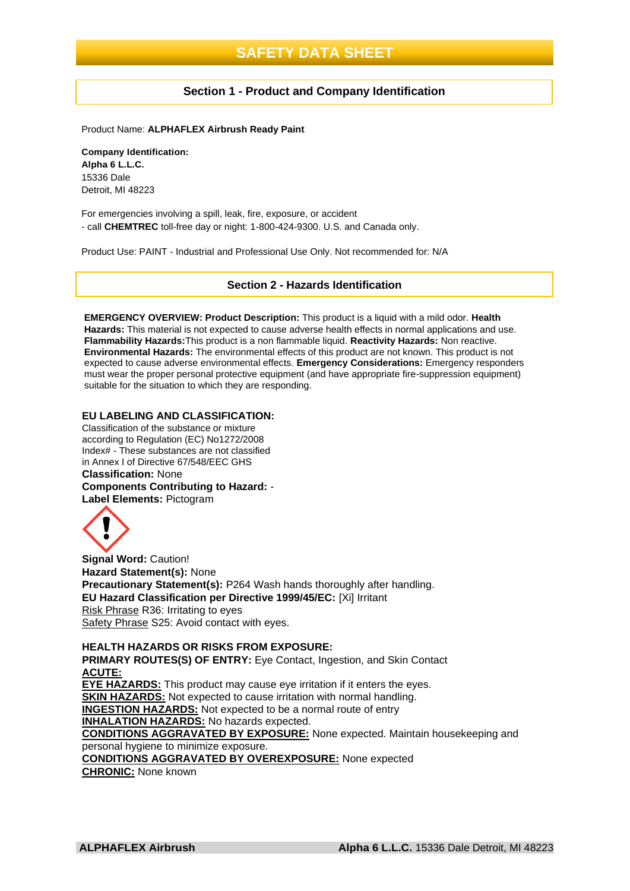### **Section 1 - Product and Company Identification**

Product Name: **ALPHAFLEX Airbrush Ready Paint**

**Company Identification: Alpha 6 L.L.C.** 15336 Dale Detroit, MI 48223

For emergencies involving a spill, leak, fire, exposure, or accident - call **CHEMTREC** toll-free day or night: 1-800-424-9300. U.S. and Canada only.

Product Use: PAINT - Industrial and Professional Use Only. Not recommended for: N/A

#### **Section 2 - Hazards Identification**

**EMERGENCY OVERVIEW: Product Description:** This product is a liquid with a mild odor. **Health Hazards:** This material is not expected to cause adverse health effects in normal applications and use. **Flammability Hazards:**This product is a non flammable liquid. **Reactivity Hazards:** Non reactive. **Environmental Hazards:** The environmental effects of this product are not known. This product is not expected to cause adverse environmental effects. **Emergency Considerations:** Emergency responders must wear the proper personal protective equipment (and have appropriate fire-suppression equipment) suitable for the situation to which they are responding.

#### **EU LABELING AND CLASSIFICATION:**

Classification of the substance or mixture according to Regulation (EC) No1272/2008 Index# - These substances are not classified in Annex I of Directive 67/548/EEC GHS **Classification:** None **Components Contributing to Hazard:** - **Label Elements:** Pictogram



**Signal Word:** Caution! **Hazard Statement(s):** None **Precautionary Statement(s):** P264 Wash hands thoroughly after handling. **EU Hazard Classification per Directive 1999/45/EC:** [Xi] Irritant Risk Phrase R36: Irritating to eyes Safety Phrase S25: Avoid contact with eyes.

**HEALTH HAZARDS OR RISKS FROM EXPOSURE: PRIMARY ROUTES(S) OF ENTRY:** Eve Contact, Ingestion, and Skin Contact **ACUTE: EYE HAZARDS:** This product may cause eye irritation if it enters the eyes. **SKIN HAZARDS:** Not expected to cause irritation with normal handling. **INGESTION HAZARDS:** Not expected to be a normal route of entry **INHALATION HAZARDS:** No hazards expected. **CONDITIONS AGGRAVATED BY EXPOSURE:** None expected. Maintain housekeeping and personal hygiene to minimize exposure. **CONDITIONS AGGRAVATED BY OVEREXPOSURE:** None expected **CHRONIC:** None known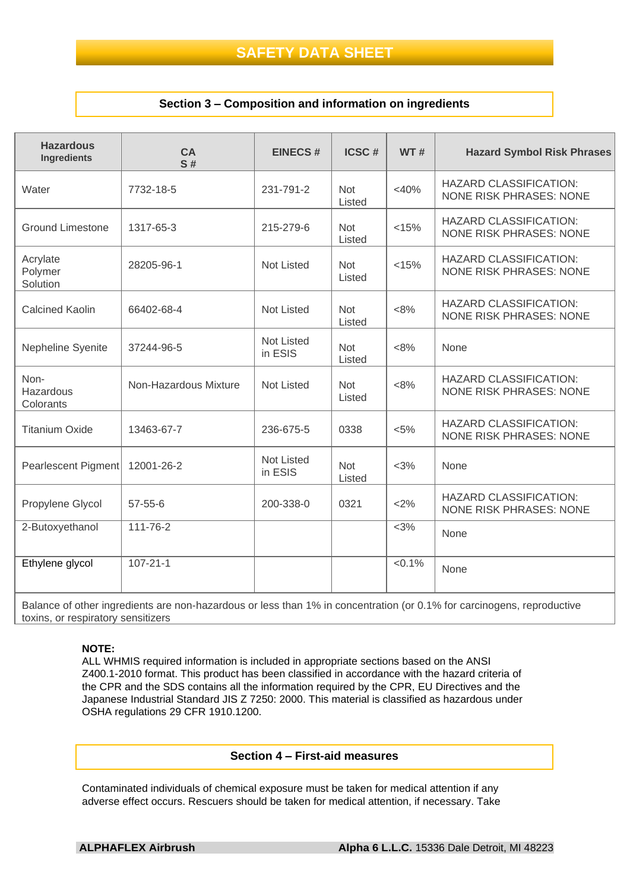## **Section 3 – Composition and information on ingredients**

| <b>Hazardous</b><br><b>Ingredients</b> | <b>CA</b><br>S#       | <b>EINECS#</b>               | ICSC#                | <b>WT#</b> | <b>Hazard Symbol Risk Phrases</b>                               |
|----------------------------------------|-----------------------|------------------------------|----------------------|------------|-----------------------------------------------------------------|
| Water                                  | 7732-18-5             | 231-791-2                    | <b>Not</b><br>Listed | $<$ 40%    | <b>HAZARD CLASSIFICATION:</b><br><b>NONE RISK PHRASES: NONE</b> |
| <b>Ground Limestone</b>                | 1317-65-3             | 215-279-6                    | <b>Not</b><br>Listed | < 15%      | <b>HAZARD CLASSIFICATION:</b><br><b>NONE RISK PHRASES: NONE</b> |
| Acrylate<br>Polymer<br>Solution        | 28205-96-1            | <b>Not Listed</b>            | <b>Not</b><br>Listed | < 15%      | <b>HAZARD CLASSIFICATION:</b><br><b>NONE RISK PHRASES: NONE</b> |
| <b>Calcined Kaolin</b>                 | 66402-68-4            | <b>Not Listed</b>            | <b>Not</b><br>Listed | $<8\%$     | <b>HAZARD CLASSIFICATION:</b><br><b>NONE RISK PHRASES: NONE</b> |
| Nepheline Syenite                      | 37244-96-5            | Not Listed<br>in ESIS        | <b>Not</b><br>Listed | $<8\%$     | None                                                            |
| Non-<br>Hazardous<br>Colorants         | Non-Hazardous Mixture | Not Listed                   | <b>Not</b><br>Listed | $<8\%$     | <b>HAZARD CLASSIFICATION:</b><br><b>NONE RISK PHRASES: NONE</b> |
| <b>Titanium Oxide</b>                  | 13463-67-7            | 236-675-5                    | 0338                 | $< 5\%$    | <b>HAZARD CLASSIFICATION:</b><br><b>NONE RISK PHRASES: NONE</b> |
| Pearlescent Pigment                    | 12001-26-2            | <b>Not Listed</b><br>in ESIS | <b>Not</b><br>Listed | $<$ 3%     | None                                                            |
| Propylene Glycol                       | $57 - 55 - 6$         | 200-338-0                    | 0321                 | <2%        | <b>HAZARD CLASSIFICATION:</b><br>NONE RISK PHRASES: NONE        |
| 2-Butoxyethanol                        | 111-76-2              |                              |                      | $<$ 3%     | None                                                            |
| Ethylene glycol                        | $107 - 21 - 1$        |                              |                      | $< 0.1\%$  | None                                                            |

Balance of other ingredients are non-hazardous or less than 1% in concentration (or 0.1% for carcinogens, reproductive toxins, or respiratory sensitizers

#### **NOTE:**

ALL WHMIS required information is included in appropriate sections based on the ANSI Z400.1-2010 format. This product has been classified in accordance with the hazard criteria of the CPR and the SDS contains all the information required by the CPR, EU Directives and the Japanese Industrial Standard JIS Z 7250: 2000. This material is classified as hazardous under OSHA regulations 29 CFR 1910.1200.

#### **Section 4 – First-aid measures**

Contaminated individuals of chemical exposure must be taken for medical attention if any adverse effect occurs. Rescuers should be taken for medical attention, if necessary. Take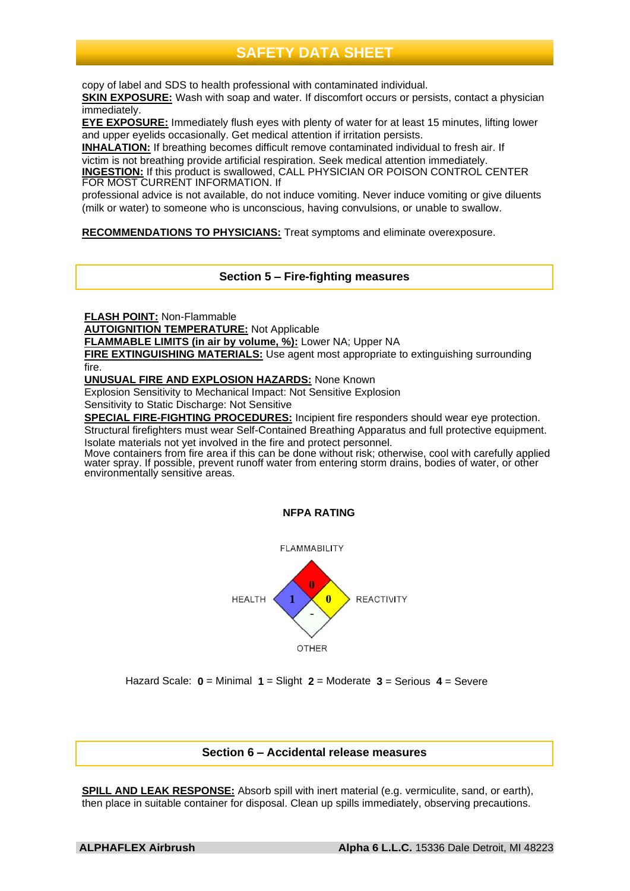copy of label and SDS to health professional with contaminated individual.

**SKIN EXPOSURE:** Wash with soap and water. If discomfort occurs or persists, contact a physician immediately.

**EYE EXPOSURE:** Immediately flush eyes with plenty of water for at least 15 minutes, lifting lower and upper eyelids occasionally. Get medical attention if irritation persists.

**INHALATION:** If breathing becomes difficult remove contaminated individual to fresh air. If victim is not breathing provide artificial respiration. Seek medical attention immediately.

**INGESTION:** If this product is swallowed, CALL PHYSICIAN OR POISON CONTROL CENTER FOR MOST CURRENT INFORMATION. If

professional advice is not available, do not induce vomiting. Never induce vomiting or give diluents (milk or water) to someone who is unconscious, having convulsions, or unable to swallow.

**RECOMMENDATIONS TO PHYSICIANS:** Treat symptoms and eliminate overexposure.

**Section 5 – Fire-fighting measures**

**FLASH POINT:** Non-Flammable

**AUTOIGNITION TEMPERATURE:** Not Applicable

**FLAMMABLE LIMITS (in air by volume, %):** Lower NA; Upper NA

**FIRE EXTINGUISHING MATERIALS:** Use agent most appropriate to extinguishing surrounding fire.

**UNUSUAL FIRE AND EXPLOSION HAZARDS:** None Known

Explosion Sensitivity to Mechanical Impact: Not Sensitive Explosion

Sensitivity to Static Discharge: Not Sensitive

**SPECIAL FIRE-FIGHTING PROCEDURES:** Incipient fire responders should wear eye protection. Structural firefighters must wear Self-Contained Breathing Apparatus and full protective equipment.

Isolate materials not yet involved in the fire and protect personnel.

Move containers from fire area if this can be done without risk; otherwise, cool with carefully applied water spray. If possible, prevent runoff water from entering storm drains, bodies of water, or other environmentally sensitive areas.





Hazard Scale: **0** = Minimal **1** = Slight **2** = Moderate **3** = Serious **4** = Severe

## **Section 6 – Accidental release measures**

**SPILL AND LEAK RESPONSE:** Absorb spill with inert material (e.g. vermiculite, sand, or earth), then place in suitable container for disposal. Clean up spills immediately, observing precautions.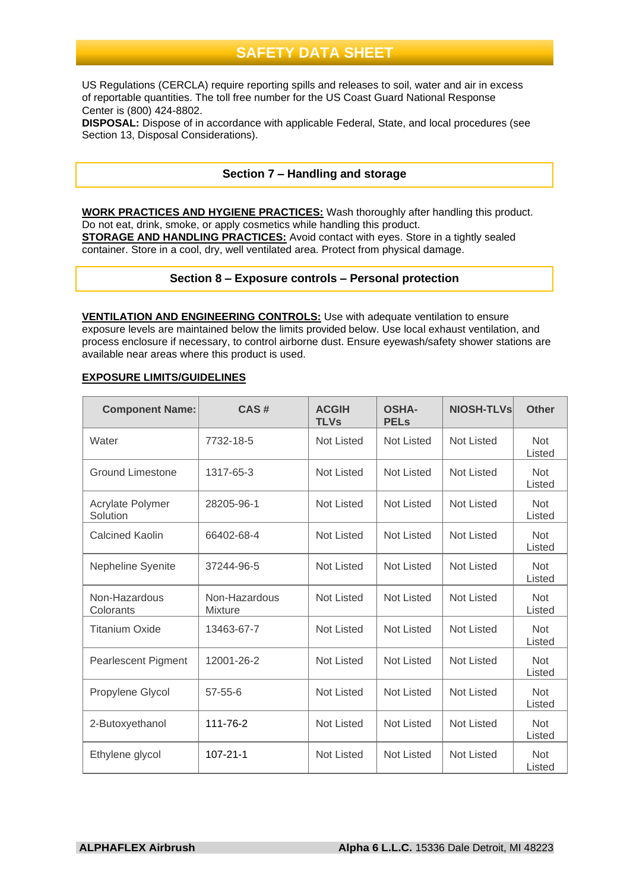US Regulations (CERCLA) require reporting spills and releases to soil, water and air in excess of reportable quantities. The toll free number for the US Coast Guard National Response Center is (800) 424-8802.

**DISPOSAL:** Dispose of in accordance with applicable Federal, State, and local procedures (see Section 13, Disposal Considerations).

## **Section 7 – Handling and storage**

**WORK PRACTICES AND HYGIENE PRACTICES:** Wash thoroughly after handling this product. Do not eat, drink, smoke, or apply cosmetics while handling this product. **STORAGE AND HANDLING PRACTICES:** Avoid contact with eyes. Store in a tightly sealed container. Store in a cool, dry, well ventilated area. Protect from physical damage.

### **Section 8 – Exposure controls – Personal protection**

**VENTILATION AND ENGINEERING CONTROLS:** Use with adequate ventilation to ensure exposure levels are maintained below the limits provided below. Use local exhaust ventilation, and process enclosure if necessary, to control airborne dust. Ensure eyewash/safety shower stations are available near areas where this product is used.

#### **EXPOSURE LIMITS/GUIDELINES**

| <b>Component Name:</b>       | CAS#                     | <b>ACGIH</b><br><b>TLVs</b> | <b>OSHA-</b><br><b>PELs</b> | <b>NIOSH-TLVs</b> | <b>Other</b>         |
|------------------------------|--------------------------|-----------------------------|-----------------------------|-------------------|----------------------|
| Water                        | 7732-18-5                | <b>Not Listed</b>           | <b>Not Listed</b>           | <b>Not Listed</b> | <b>Not</b><br>Listed |
| <b>Ground Limestone</b>      | 1317-65-3                | Not Listed                  | <b>Not Listed</b>           | <b>Not Listed</b> | <b>Not</b><br>Listed |
| Acrylate Polymer<br>Solution | 28205-96-1               | <b>Not Listed</b>           | <b>Not Listed</b>           | <b>Not Listed</b> | <b>Not</b><br>Listed |
| <b>Calcined Kaolin</b>       | 66402-68-4               | <b>Not Listed</b>           | <b>Not Listed</b>           | <b>Not Listed</b> | <b>Not</b><br>Listed |
| Nepheline Syenite            | 37244-96-5               | <b>Not Listed</b>           | <b>Not Listed</b>           | <b>Not Listed</b> | <b>Not</b><br>Listed |
| Non-Hazardous<br>Colorants   | Non-Hazardous<br>Mixture | <b>Not Listed</b>           | <b>Not Listed</b>           | <b>Not Listed</b> | <b>Not</b><br>Listed |
| <b>Titanium Oxide</b>        | 13463-67-7               | <b>Not Listed</b>           | <b>Not Listed</b>           | <b>Not Listed</b> | <b>Not</b><br>Listed |
| <b>Pearlescent Pigment</b>   | 12001-26-2               | <b>Not Listed</b>           | <b>Not Listed</b>           | <b>Not Listed</b> | <b>Not</b><br>Listed |
| Propylene Glycol             | 57-55-6                  | <b>Not Listed</b>           | <b>Not Listed</b>           | <b>Not Listed</b> | <b>Not</b><br>Listed |
| 2-Butoxyethanol              | 111-76-2                 | <b>Not Listed</b>           | <b>Not Listed</b>           | <b>Not Listed</b> | <b>Not</b><br>Listed |
| Ethylene glycol              | $107 - 21 - 1$           | <b>Not Listed</b>           | <b>Not Listed</b>           | <b>Not Listed</b> | <b>Not</b><br>Listed |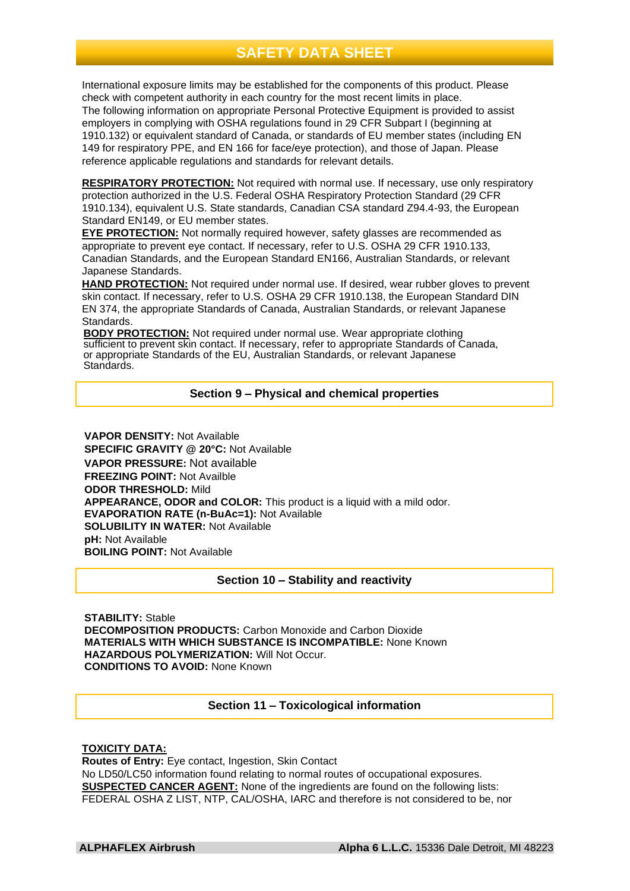International exposure limits may be established for the components of this product. Please check with competent authority in each country for the most recent limits in place. The following information on appropriate Personal Protective Equipment is provided to assist employers in complying with OSHA regulations found in 29 CFR Subpart I (beginning at 1910.132) or equivalent standard of Canada, or standards of EU member states (including EN 149 for respiratory PPE, and EN 166 for face/eye protection), and those of Japan. Please reference applicable regulations and standards for relevant details.

**RESPIRATORY PROTECTION:** Not required with normal use. If necessary, use only respiratory protection authorized in the U.S. Federal OSHA Respiratory Protection Standard (29 CFR 1910.134), equivalent U.S. State standards, Canadian CSA standard Z94.4-93, the European Standard EN149, or EU member states.

**EYE PROTECTION:** Not normally required however, safety glasses are recommended as appropriate to prevent eye contact. If necessary, refer to U.S. OSHA 29 CFR 1910.133, Canadian Standards, and the European Standard EN166, Australian Standards, or relevant Japanese Standards.

**HAND PROTECTION:** Not required under normal use. If desired, wear rubber gloves to prevent skin contact. If necessary, refer to U.S. OSHA 29 CFR 1910.138, the European Standard DIN EN 374, the appropriate Standards of Canada, Australian Standards, or relevant Japanese Standards.

**BODY PROTECTION:** Not required under normal use. Wear appropriate clothing sufficient to prevent skin contact. If necessary, refer to appropriate Standards of Canada, or appropriate Standards of the EU, Australian Standards, or relevant Japanese Standards.

## **Section 9 – Physical and chemical properties**

**VAPOR DENSITY:** Not Available **SPECIFIC GRAVITY @ 20°C:** Not Available **VAPOR PRESSURE:** Not available **FREEZING POINT:** Not Availble **ODOR THRESHOLD:** Mild **APPEARANCE, ODOR and COLOR:** This product is a liquid with a mild odor. **EVAPORATION RATE (n-BuAc=1):** Not Available **SOLUBILITY IN WATER: Not Available pH:** Not Available **BOILING POINT:** Not Available

### **Section 10 – Stability and reactivity**

**STABILITY:** Stable **DECOMPOSITION PRODUCTS:** Carbon Monoxide and Carbon Dioxide **MATERIALS WITH WHICH SUBSTANCE IS INCOMPATIBLE:** None Known **HAZARDOUS POLYMERIZATION:** Will Not Occur. **CONDITIONS TO AVOID:** None Known

### **Section 11 – Toxicological information**

#### **TOXICITY DATA:**

**Routes of Entry:** Eye contact, Ingestion, Skin Contact No LD50/LC50 information found relating to normal routes of occupational exposures. **SUSPECTED CANCER AGENT:** None of the ingredients are found on the following lists: FEDERAL OSHA Z LIST, NTP, CAL/OSHA, IARC and therefore is not considered to be, nor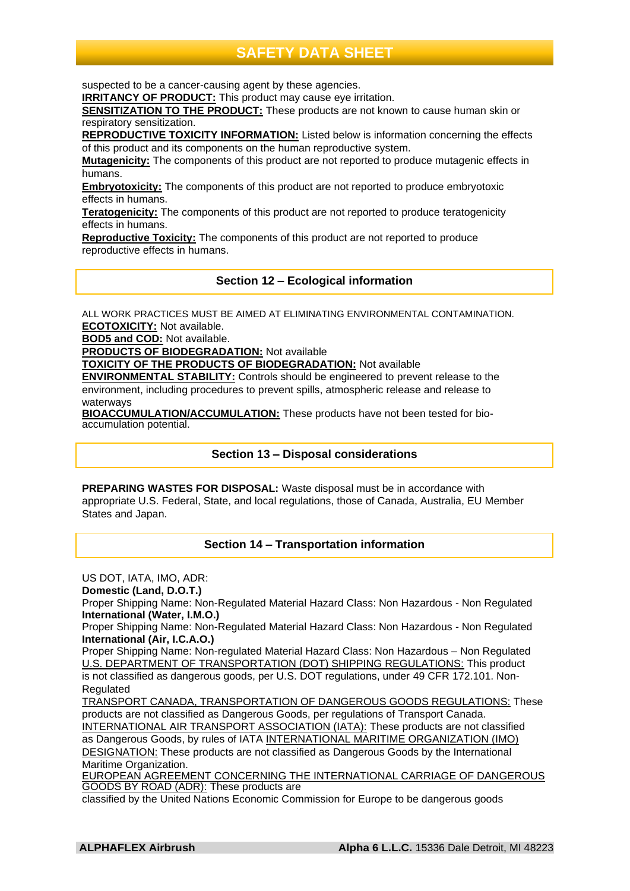suspected to be a cancer-causing agent by these agencies.

**IRRITANCY OF PRODUCT:** This product may cause eye irritation.

**SENSITIZATION TO THE PRODUCT:** These products are not known to cause human skin or respiratory sensitization.

**REPRODUCTIVE TOXICITY INFORMATION:** Listed below is information concerning the effects of this product and its components on the human reproductive system.

**Mutagenicity:** The components of this product are not reported to produce mutagenic effects in humans.

**Embryotoxicity:** The components of this product are not reported to produce embryotoxic effects in humans.

**Teratogenicity:** The components of this product are not reported to produce teratogenicity effects in humans.

**Reproductive Toxicity:** The components of this product are not reported to produce reproductive effects in humans.

**Section 12 – Ecological information**

ALL WORK PRACTICES MUST BE AIMED AT ELIMINATING ENVIRONMENTAL CONTAMINATION. **ECOTOXICITY:** Not available.

**BOD5 and COD:** Not available.

**PRODUCTS OF BIODEGRADATION:** Not available

**TOXICITY OF THE PRODUCTS OF BIODEGRADATION:** Not available

**ENVIRONMENTAL STABILITY:** Controls should be engineered to prevent release to the environment, including procedures to prevent spills, atmospheric release and release to waterways

**BIOACCUMULATION/ACCUMULATION:** These products have not been tested for bioaccumulation potential.

### **Section 13 – Disposal considerations**

**PREPARING WASTES FOR DISPOSAL:** Waste disposal must be in accordance with appropriate U.S. Federal, State, and local regulations, those of Canada, Australia, EU Member States and Japan.

## **Section 14 – Transportation information**

US DOT, IATA, IMO, ADR: **Domestic (Land, D.O.T.)** Proper Shipping Name: Non-Regulated Material Hazard Class: Non Hazardous - Non Regulated **International (Water, I.M.O.)** Proper Shipping Name: Non-Regulated Material Hazard Class: Non Hazardous - Non Regulated **International (Air, I.C.A.O.)** Proper Shipping Name: Non-regulated Material Hazard Class: Non Hazardous – Non Regulated U.S. DEPARTMENT OF TRANSPORTATION (DOT) SHIPPING REGULATIONS: This product is not classified as dangerous goods, per U.S. DOT regulations, under 49 CFR 172.101. Non-Regulated TRANSPORT CANADA, TRANSPORTATION OF DANGEROUS GOODS REGULATIONS: These products are not classified as Dangerous Goods, per regulations of Transport Canada. INTERNATIONAL AIR TRANSPORT ASSOCIATION (IATA): These products are not classified as Dangerous Goods, by rules of IATA INTERNATIONAL MARITIME ORGANIZATION (IMO) DESIGNATION: These products are not classified as Dangerous Goods by the International Maritime Organization.

EUROPEAN AGREEMENT CONCERNING THE INTERNATIONAL CARRIAGE OF DANGEROUS GOODS BY ROAD (ADR): These products are

classified by the United Nations Economic Commission for Europe to be dangerous goods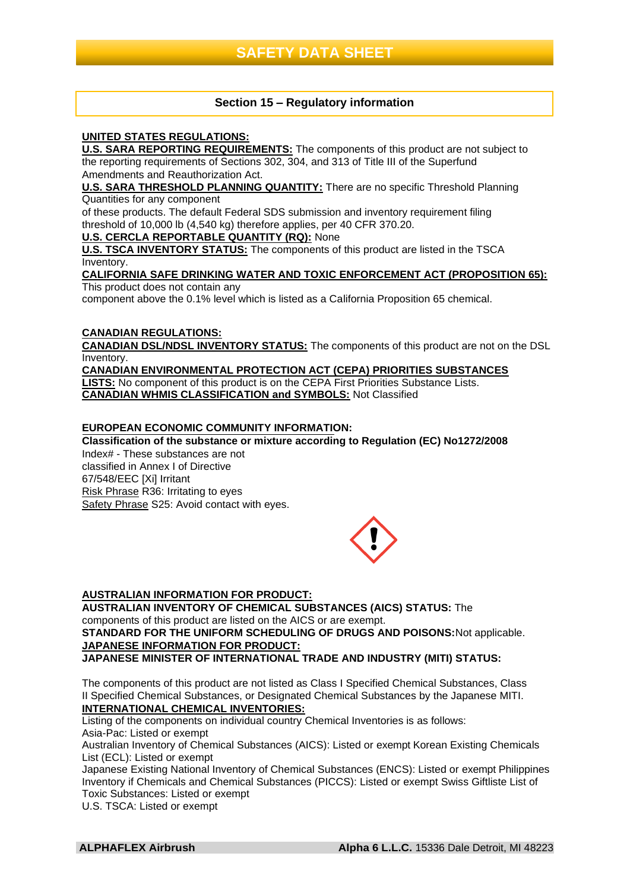## **Section 15 – Regulatory information**

### **UNITED STATES REGULATIONS:**

**U.S. SARA REPORTING REQUIREMENTS:** The components of this product are not subject to the reporting requirements of Sections 302, 304, and 313 of Title III of the Superfund Amendments and Reauthorization Act.

**U.S. SARA THRESHOLD PLANNING QUANTITY:** There are no specific Threshold Planning Quantities for any component

of these products. The default Federal SDS submission and inventory requirement filing threshold of 10,000 lb (4,540 kg) therefore applies, per 40 CFR 370.20.

## **U.S. CERCLA REPORTABLE QUANTITY (RQ):** None

**U.S. TSCA INVENTORY STATUS:** The components of this product are listed in the TSCA Inventory.

#### **CALIFORNIA SAFE DRINKING WATER AND TOXIC ENFORCEMENT ACT (PROPOSITION 65):** This product does not contain any

component above the 0.1% level which is listed as a California Proposition 65 chemical.

## **CANADIAN REGULATIONS:**

**CANADIAN DSL/NDSL INVENTORY STATUS:** The components of this product are not on the DSL Inventory.

**CANADIAN ENVIRONMENTAL PROTECTION ACT (CEPA) PRIORITIES SUBSTANCES LISTS:** No component of this product is on the CEPA First Priorities Substance Lists. **CANADIAN WHMIS CLASSIFICATION and SYMBOLS:** Not Classified

## **EUROPEAN ECONOMIC COMMUNITY INFORMATION:**

**Classification of the substance or mixture according to Regulation (EC) No1272/2008** Index# - These substances are not classified in Annex I of Directive 67/548/EEC [Xi] Irritant Risk Phrase R36: Irritating to eyes Safety Phrase S25: Avoid contact with eyes.



### **AUSTRALIAN INFORMATION FOR PRODUCT:**

**AUSTRALIAN INVENTORY OF CHEMICAL SUBSTANCES (AICS) STATUS:** The components of this product are listed on the AICS or are exempt. **STANDARD FOR THE UNIFORM SCHEDULING OF DRUGS AND POISONS:**Not applicable. **JAPANESE INFORMATION FOR PRODUCT:**

**JAPANESE MINISTER OF INTERNATIONAL TRADE AND INDUSTRY (MITI) STATUS:**

The components of this product are not listed as Class I Specified Chemical Substances, Class II Specified Chemical Substances, or Designated Chemical Substances by the Japanese MITI. **INTERNATIONAL CHEMICAL INVENTORIES:**

Listing of the components on individual country Chemical Inventories is as follows: Asia-Pac: Listed or exempt

Australian Inventory of Chemical Substances (AICS): Listed or exempt Korean Existing Chemicals List (ECL): Listed or exempt

Japanese Existing National Inventory of Chemical Substances (ENCS): Listed or exempt Philippines Inventory if Chemicals and Chemical Substances (PICCS): Listed or exempt Swiss Giftliste List of Toxic Substances: Listed or exempt

U.S. TSCA: Listed or exempt